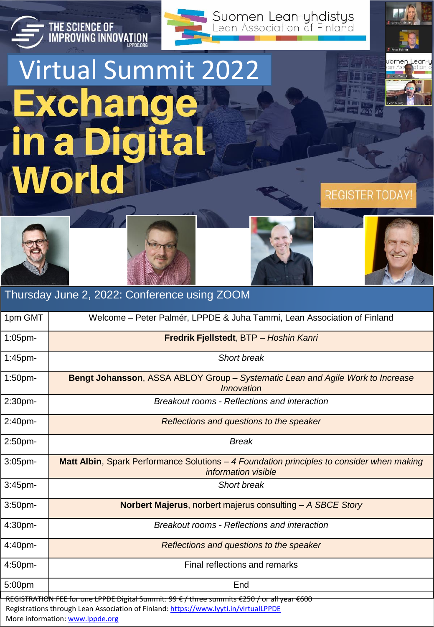

## Virtual Summit 2022**Exchange in a Digital World**

THE SCIENCE OF<br>IMPROVING INNOVATION



**REGISTER TODAY!** 







REGISTRATION FEE for one LPPDE Digital Summit: 99 € / three summits €250 / or all year €600 Registrations through Lean Association of Finland:<https://www.lyyti.in/virtualLPPDE> More information: [www.lppde.org](http://www.lppde.org/)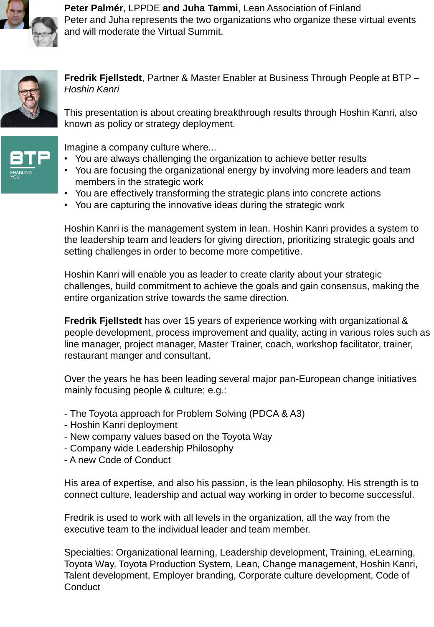

**Peter Palmér**, LPPDE **and Juha Tammi**, Lean Association of Finland Peter and Juha represents the two organizations who organize these virtual events and will moderate the Virtual Summit.



**Fredrik Fjellstedt**, Partner & Master Enabler at Business Through People at BTP – *Hoshin Kanri*

This presentation is about creating breakthrough results through Hoshin Kanri, also known as policy or strategy deployment.



Imagine a company culture where...

- You are always challenging the organization to achieve better results
- You are focusing the organizational energy by involving more leaders and team members in the strategic work
- You are effectively transforming the strategic plans into concrete actions
- You are capturing the innovative ideas during the strategic work

Hoshin Kanri is the management system in lean. Hoshin Kanri provides a system to the leadership team and leaders for giving direction, prioritizing strategic goals and setting challenges in order to become more competitive.

Hoshin Kanri will enable you as leader to create clarity about your strategic challenges, build commitment to achieve the goals and gain consensus, making the entire organization strive towards the same direction.

**Fredrik Fjellstedt** has over 15 years of experience working with organizational & people development, process improvement and quality, acting in various roles such as line manager, project manager, Master Trainer, coach, workshop facilitator, trainer, restaurant manger and consultant.

Over the years he has been leading several major pan-European change initiatives mainly focusing people & culture; e.g.:

- The Toyota approach for Problem Solving (PDCA & A3)
- Hoshin Kanri deployment
- New company values based on the Toyota Way
- Company wide Leadership Philosophy
- A new Code of Conduct

His area of expertise, and also his passion, is the lean philosophy. His strength is to connect culture, leadership and actual way working in order to become successful.

Fredrik is used to work with all levels in the organization, all the way from the executive team to the individual leader and team member.

Specialties: Organizational learning, Leadership development, Training, eLearning, Toyota Way, Toyota Production System, Lean, Change management, Hoshin Kanri, Talent development, Employer branding, Corporate culture development, Code of **Conduct**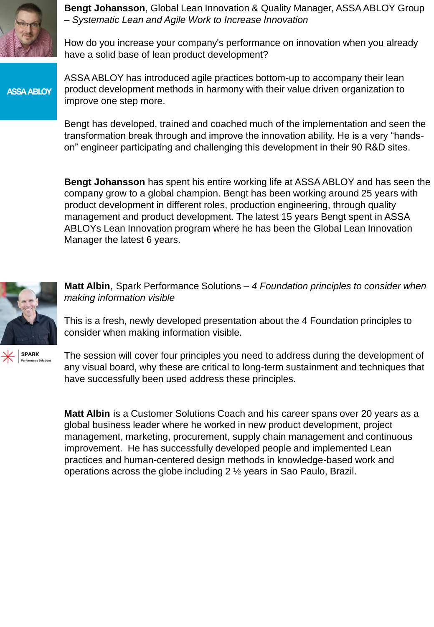

**Bengt Johansson**, Global Lean Innovation & Quality Manager, ASSA ABLOY Group – *Systematic Lean and Agile Work to Increase Innovation*

How do you increase your company's performance on innovation when you already have a solid base of lean product development?

**ASSA ABLOY** 

ASSA ABLOY has introduced agile practices bottom-up to accompany their lean product development methods in harmony with their value driven organization to improve one step more.

Bengt has developed, trained and coached much of the implementation and seen the transformation break through and improve the innovation ability. He is a very "handson" engineer participating and challenging this development in their 90 R&D sites.

**Bengt Johansson** has spent his entire working life at ASSA ABLOY and has seen the company grow to a global champion. Bengt has been working around 25 years with product development in different roles, production engineering, through quality management and product development. The latest 15 years Bengt spent in ASSA ABLOYs Lean Innovation program where he has been the Global Lean Innovation Manager the latest 6 years.



**Matt Albin**, Spark Performance Solutions – *4 Foundation principles to consider when making information visible*

This is a fresh, newly developed presentation about the 4 Foundation principles to consider when making information visible.

**SPARK** 

The session will cover four principles you need to address during the development of any visual board, why these are critical to long-term sustainment and techniques that have successfully been used address these principles.

**Matt Albin** is a Customer Solutions Coach and his career spans over 20 years as a global business leader where he worked in new product development, project management, marketing, procurement, supply chain management and continuous improvement. He has successfully developed people and implemented Lean practices and human-centered design methods in knowledge-based work and operations across the globe including 2 ½ years in Sao Paulo, Brazil.